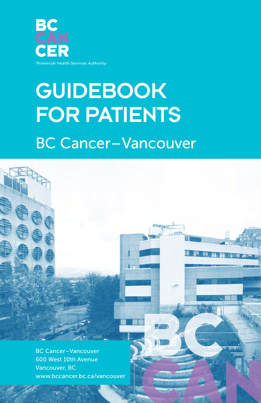

# **GUIDEBOOK** FOR PATIENTS BC Cancer – Vancouver



BC Cancer – Vancouver 600 West 10th Avenue Vancouver, BC www.bccancer.bc.ca/vancouver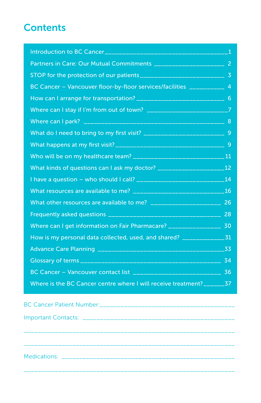# **Contents**

| Partners in Care: Our Mutual Commitments ________________________ 2            |                |
|--------------------------------------------------------------------------------|----------------|
|                                                                                |                |
| BC Cancer - Vancouver floor-by-floor services/facilities __________            | $\overline{4}$ |
| How can I arrange for transportation? ___________________________________ 6    |                |
| Where can I stay if I'm from out of town? ________________________________7    |                |
|                                                                                |                |
| What do I need to bring to my first visit? _________________________________ 9 |                |
|                                                                                |                |
|                                                                                |                |
|                                                                                |                |
|                                                                                |                |
|                                                                                |                |
| What other resources are available to me? ________________________ 26          |                |
|                                                                                |                |
| Where can I get information on Fair Pharmacare? __________________ 30          |                |
| How is my personal data collected, used, and shared? _________________31       |                |
|                                                                                |                |
|                                                                                |                |
| BC Cancer - Vancouver contact list ________________________________ 36         |                |
| Where is the BC Cancer centre where I will receive treatment?_______37         |                |
|                                                                                |                |
| RC Cancer Dationt Number                                                       |                |

\_\_\_\_\_\_\_\_\_\_\_\_\_\_\_\_\_\_\_\_\_\_\_\_\_\_\_\_\_\_\_\_\_\_\_\_\_\_\_\_\_\_\_\_\_\_\_\_\_\_\_\_\_\_\_\_\_\_\_\_\_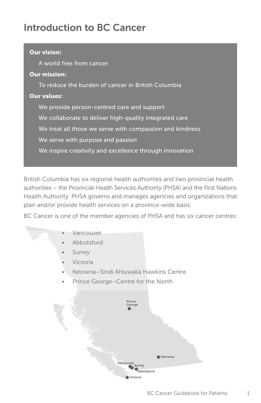# Introduction to BC Cancer

# Our vision: A world free from cancer Our mission: To reduce the burden of cancer in British Columbia Our values: We provide person-centred care and support We collaborate to deliver high-quality integrated care We treat all those we serve with compassion and kindness We serve with purpose and passion We inspire creativity and excellence through innovation

British Columbia has six regional health authorities and two provincial health authorities – the Provincial Health Services Authority (PHSA) and the First Nations Health Authority. PHSA governs and manages agencies and organizations that plan and/or provide health services on a province-wide basis.

BC Cancer is one of the member agencies of PHSA and has six cancer centres:

#### **Vancouver**

- Abbotsford
- **Surrey**
- Victoria
- Kelowna – Sindi Ahluwalia Hawkins Centre
- Prince George-Centre for the North

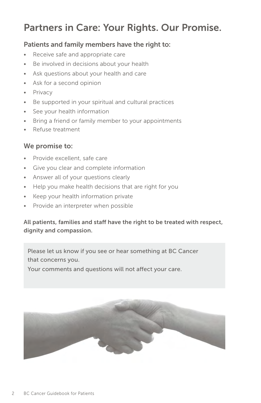# Partners in Care: Your Rights. Our Promise.

#### Patients and family members have the right to:

- Receive safe and appropriate care
- Be involved in decisions about your health
- Ask questions about your health and care
- Ask for a second opinion
- **Privacy**
- Be supported in your spiritual and cultural practices
- See your health information
- Bring a friend or family member to your appointments
- Refuse treatment

#### We promise to:

- Provide excellent, safe care
- Give you clear and complete information
- Answer all of your questions clearly
- Help you make health decisions that are right for you
- Keep your health information private
- Provide an interpreter when possible

#### All patients, families and staff have the right to be treated with respect, dignity and compassion.

Please let us know if you see or hear something at BC Cancer that concerns you.

Your comments and questions will not affect your care.

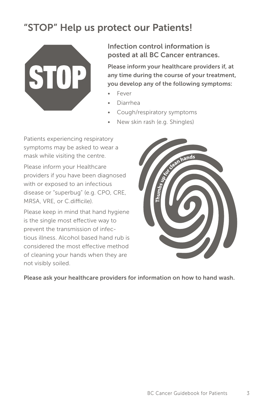# "STOP" Help us protect our Patients!



Infection control information is posted at all BC Cancer entrances.

Please inform your healthcare providers if, at any time during the course of your treatment, you develop any of the following symptoms:

- Fever
- Diarrhea
- Cough/respiratory symptoms
- New skin rash (e.g. Shingles)

Patients experiencing respiratory symptoms may be asked to wear a mask while visiting the centre.

Please inform your Healthcare providers if you have been diagnosed with or exposed to an infectious disease or "superbug" (e.g. CPO, CRE, MRSA, VRE, or C.difficile).

Please keep in mind that hand hygiene is the single most effective way to prevent the transmission of infectious illness. Alcohol based hand rub is considered the most effective method of cleaning your hands when they are not visibly soiled.



Please ask your healthcare providers for information on how to hand wash.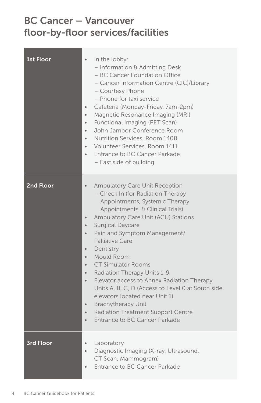# BC Cancer – Vancouver floor-by-floor services/facilities

| <b>1st Floor</b> | In the lobby:<br>$\bullet$<br>- Information & Admitting Desk<br>- BC Cancer Foundation Office<br>- Cancer Information Centre (CIC)/Library<br>- Courtesy Phone<br>- Phone for taxi service<br>Cafeteria (Monday-Friday, 7am-2pm)<br>$\bullet$<br>Magnetic Resonance Imaging (MRI)<br>$\bullet$<br>Functional Imaging (PET Scan)<br>$\bullet$<br>John Jambor Conference Room<br>$\bullet$<br>Nutrition Services, Room 1408<br>$\bullet$<br>Volunteer Services, Room 1411<br>$\bullet$<br>Entrance to BC Cancer Parkade<br>$\bullet$<br>- East side of building                                                                                                                                                                                                                   |
|------------------|---------------------------------------------------------------------------------------------------------------------------------------------------------------------------------------------------------------------------------------------------------------------------------------------------------------------------------------------------------------------------------------------------------------------------------------------------------------------------------------------------------------------------------------------------------------------------------------------------------------------------------------------------------------------------------------------------------------------------------------------------------------------------------|
| <b>2nd Floor</b> | <b>Ambulatory Care Unit Reception</b><br>$\bullet$<br>- Check In (for Radiation Therapy<br>Appointments, Systemic Therapy<br>Appointments, & Clinical Trials)<br>Ambulatory Care Unit (ACU) Stations<br>$\bullet$<br><b>Surgical Daycare</b><br>$\bullet$<br>Pain and Symptom Management/<br>$\bullet$<br>Palliative Care<br>Dentistry<br>$\bullet$<br>Mould Room<br>$\bullet$<br><b>CT Simulator Rooms</b><br>$\bullet$<br><b>Radiation Therapy Units 1-9</b><br>$\bullet$<br>Elevator access to Annex Radiation Therapy<br>$\bullet$<br>Units A, B, C, D (Access to Level 0 at South side<br>elevators located near Unit 1)<br><b>Brachytherapy Unit</b><br>$\bullet$<br><b>Radiation Treatment Support Centre</b><br>$\bullet$<br>Entrance to BC Cancer Parkade<br>$\bullet$ |
| <b>3rd Floor</b> | Laboratory<br>$\bullet$<br>Diagnostic Imaging (X-ray, Ultrasound,<br>$\bullet$<br>CT Scan, Mammogram)<br>Entrance to BC Cancer Parkade                                                                                                                                                                                                                                                                                                                                                                                                                                                                                                                                                                                                                                          |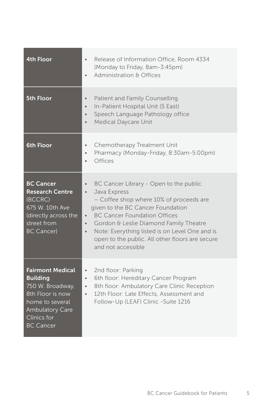| <b>4th Floor</b>                                                                                                                                                          | Release of Information Office, Room 4334<br>$\bullet$<br>(Monday to Friday, 8am-3:45pm)<br>Administration & Offices<br>$\bullet$                                                                                                                                                                                                                                                                                    |
|---------------------------------------------------------------------------------------------------------------------------------------------------------------------------|---------------------------------------------------------------------------------------------------------------------------------------------------------------------------------------------------------------------------------------------------------------------------------------------------------------------------------------------------------------------------------------------------------------------|
| <b>5th Floor</b>                                                                                                                                                          | Patient and Family Counselling<br>$\bullet$<br>In-Patient Hospital Unit (5 East)<br>$\bullet$<br>Speech Language Pathology office<br>$\bullet$<br><b>Medical Daycare Unit</b><br>$\bullet$                                                                                                                                                                                                                          |
| 6th Floor                                                                                                                                                                 | Chemotherapy Treatment Unit<br>$\bullet$<br>Pharmacy (Monday-Friday, 8:30am-5:00pm)<br>$\bullet$<br><b>Offices</b><br>$\bullet$                                                                                                                                                                                                                                                                                     |
| <b>BC Cancer</b><br><b>Research Centre</b><br>(BCCRC)<br>675 W. 10th Ave<br>(directly across the<br>street from<br><b>BC Cancer)</b>                                      | BC Cancer Library - Open to the public<br>$\bullet$<br>Java Express<br>$\bullet$<br>- Coffee shop where 10% of proceeds are<br>given to the BC Cancer Foundation<br><b>BC Cancer Foundation Offices</b><br>$\bullet$<br>Gordon & Leslie Diamond Family Theatre<br>$\bullet$<br>Note: Everything listed is on Level One and is<br>$\bullet$<br>open to the public. All other floors are secure<br>and not accessible |
| <b>Fairmont Medical</b><br><b>Building</b><br>750 W. Broadway,<br>8th Floor is now<br>home to several<br><b>Ambulatory Care</b><br><b>Clinics for</b><br><b>BC Cancer</b> | 2nd floor: Parking<br>$\bullet$<br>6th floor: Hereditary Cancer Program<br>$\bullet$<br>8th floor: Ambulatory Care Clinic Reception<br>$\bullet$<br>12th Floor: Late Effects, Assessment and<br>$\bullet$<br>Follow-Up (LEAF) Clinic -Suite 1216                                                                                                                                                                    |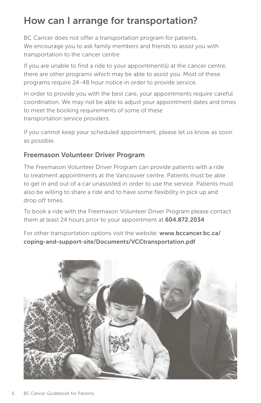# How can I arrange for transportation?

BC Cancer does not offer a transportation program for patients. We encourage you to ask family members and friends to assist you with transportation to the cancer centre.

If you are unable to find a ride to your appointment(s) at the cancer centre, there are other programs which may be able to assist you. Most of these programs require 24-48 hour notice in order to provide service.

In order to provide you with the best care, your appointments require careful coordination. We may not be able to adjust your appointment dates and times to meet the booking requirements of some of these transportation service providers.

If you cannot keep your scheduled appointment, please let us know as soon as possible.

# Freemason Volunteer Driver Program

The Freemason Volunteer Driver Program can provide patients with a ride to treatment appointments at the Vancouver centre. Patients must be able to get in and out of a car unassisted in order to use the service. Patients must also be willing to share a ride and to have some flexibility in pick up and drop off times.

To book a ride with the Freemason Volunteer Driver Program please contact them at least 24 hours prior to your appointment at 604.872.2034

For other transportation options visit the website: www.bccancer.bc.ca/ coping-and-support-site/Documents/VCCtransportation.pdf

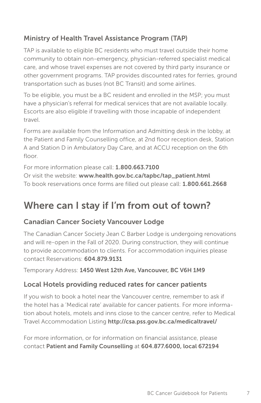# Ministry of Health Travel Assistance Program (TAP)

TAP is available to eligible BC residents who must travel outside their home community to obtain non-emergency, physician-referred specialist medical care, and whose travel expenses are not covered by third party insurance or other government programs. TAP provides discounted rates for ferries, ground transportation such as buses (not BC Transit) and some airlines.

To be eligible, you must be a BC resident and enrolled in the MSP; you must have a physician's referral for medical services that are not available locally. Escorts are also eligible if travelling with those incapable of independent travel.

Forms are available from the Information and Admitting desk in the lobby, at the Patient and Family Counselling office, at 2nd floor reception desk, Station A and Station D in Ambulatory Day Care, and at ACCU reception on the 6th floor.

For more information please call: 1.800.663.7100

Or visit the website: www.health.gov.bc.ca/tapbc/tap\_patient.html To book reservations once forms are filled out please call: 1.800.661.2668

# Where can I stay if I'm from out of town?

# Canadian Cancer Society Vancouver Lodge

The Canadian Cancer Society Jean C Barber Lodge is undergoing renovations and will re-open in the Fall of 2020. During construction, they will continue to provide accommodation to clients. For accommodation inquiries please contact Reservations: 604.879.9131

Temporary Address: 1450 West 12th Ave, Vancouver, BC V6H 1M9

### Local Hotels providing reduced rates for cancer patients

If you wish to book a hotel near the Vancouver centre, remember to ask if the hotel has a 'Medical rate' available for cancer patients. For more information about hotels, motels and inns close to the cancer centre, refer to Medical Travel Accommodation Listing http://csa.pss.gov.bc.ca/medicaltravel/

For more information, or for information on financial assistance, please contact Patient and Family Counselling at 604.877.6000, local 672194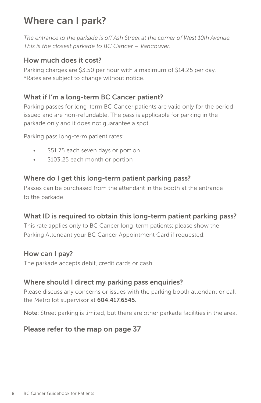# Where can I park?

*The entrance to the parkade is off Ash Street at the corner of West 10th Avenue. This is the closest parkade to BC Cancer – Vancouver.*

### How much does it cost?

Parking charges are \$3.50 per hour with a maximum of \$14.25 per day. \*Rates are subject to change without notice.

### What if I'm a long-term BC Cancer patient?

Parking passes for long-term BC Cancer patients are valid only for the period issued and are non-refundable. The pass is applicable for parking in the parkade only and it does not guarantee a spot.

Parking pass long-term patient rates:

- \$51.75 each seven days or portion
- \$103.25 each month or portion

### Where do I get this long-term patient parking pass?

Passes can be purchased from the attendant in the booth at the entrance to the parkade.

# What ID is required to obtain this long-term patient parking pass?

This rate applies only to BC Cancer long-term patients; please show the Parking Attendant your BC Cancer Appointment Card if requested.

### How can I pay?

The parkade accepts debit, credit cards or cash.

### Where should I direct my parking pass enquiries?

Please discuss any concerns or issues with the parking booth attendant or call the Metro lot supervisor at 604.417.6545.

Note: Street parking is limited, but there are other parkade facilities in the area.

### Please refer to the map on page 37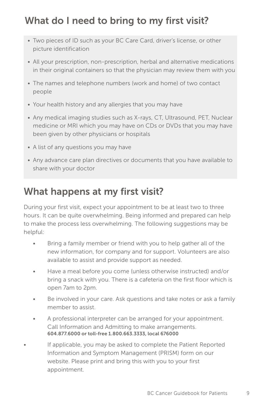# What do I need to bring to my first visit?

- Two pieces of ID such as your BC Care Card, driver's license, or other picture identification
- All your prescription, non-prescription, herbal and alternative medications in their original containers so that the physician may review them with you
- The names and telephone numbers (work and home) of two contact people
- Your health history and any allergies that you may have
- Any medical imaging studies such as X-rays, CT, Ultrasound, PET, Nuclear medicine or MRI which you may have on CDs or DVDs that you may have been given by other physicians or hospitals
- A list of any questions you may have
- Any advance care plan directives or documents that you have available to share with your doctor

# What happens at my first visit?

During your first visit, expect your appointment to be at least two to three hours. It can be quite overwhelming. Being informed and prepared can help to make the process less overwhelming. The following suggestions may be helpful:

- Bring a family member or friend with you to help gather all of the new information, for company and for support. Volunteers are also available to assist and provide support as needed.
- Have a meal before you come (unless otherwise instructed) and/or bring a snack with you. There is a cafeteria on the first floor which is open 7am to 2pm.
- Be involved in your care. Ask questions and take notes or ask a family member to assist.
- A professional interpreter can be arranged for your appointment. Call Information and Admitting to make arrangements. 604.877.6000 or toll-free 1.800.663.3333, local 676000
- If applicable, you may be asked to complete the Patient Reported Information and Symptom Management (PRISM) form on our website. Please print and bring this with you to your first appointment.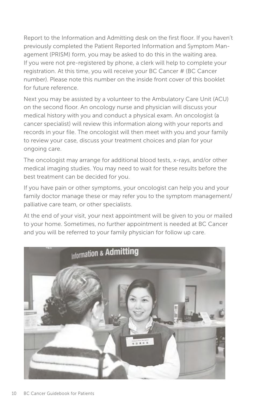Report to the Information and Admitting desk on the first floor. If you haven't previously completed the Patient Reported Information and Symptom Management (PRISM) form, you may be asked to do this in the waiting area. If you were not pre-registered by phone, a clerk will help to complete your registration. At this time, you will receive your BC Cancer # (BC Cancer number). Please note this number on the inside front cover of this booklet for future reference.

Next you may be assisted by a volunteer to the Ambulatory Care Unit (ACU) on the second floor. An oncology nurse and physician will discuss your medical history with you and conduct a physical exam. An oncologist (a cancer specialist) will review this information along with your reports and records in your file. The oncologist will then meet with you and your family to review your case, discuss your treatment choices and plan for your ongoing care.

The oncologist may arrange for additional blood tests, x-rays, and/or other medical imaging studies. You may need to wait for these results before the best treatment can be decided for you.

If you have pain or other symptoms, your oncologist can help you and your family doctor manage these or may refer you to the symptom management/ palliative care team, or other specialists.

At the end of your visit, your next appointment will be given to you or mailed to your home. Sometimes, no further appointment is needed at BC Cancer and you will be referred to your family physician for follow up care.

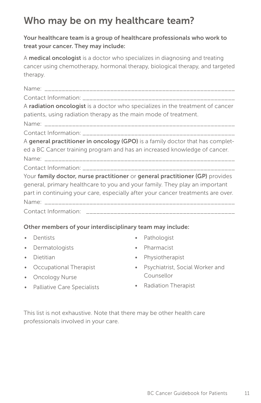# Who may be on my healthcare team?

#### Your healthcare team is a group of healthcare professionals who work to treat your cancer. They may include:

A **medical oncologist** is a doctor who specializes in diagnosing and treating cancer using chemotherapy, hormonal therapy, biological therapy, and targeted therapy.

| A radiation oncologist is a doctor who specializes in the treatment of cancer   |
|---------------------------------------------------------------------------------|
| patients, using radiation therapy as the main mode of treatment.                |
|                                                                                 |
|                                                                                 |
| A general practitioner in oncology (GPO) is a family doctor that has complet-   |
| ed a BC Cancer training program and has an increased knowledge of cancer.       |
|                                                                                 |
|                                                                                 |
| Your family doctor, nurse practitioner or general practitioner (GP) provides    |
| general, primary healthcare to you and your family. They play an important      |
| part in continuing your care, especially after your cancer treatments are over. |
|                                                                                 |
|                                                                                 |

#### Other members of your interdisciplinary team may include:

- Dentists
- Dermatologists
- Dietitian
- Occupational Therapist
- Oncology Nurse
- Pathologist
- Pharmacist
- Physiotherapist
- Psychiatrist, Social Worker and Counsellor
- Palliative Care Specialists
- Radiation Therapist

This list is not exhaustive. Note that there may be other health care professionals involved in your care.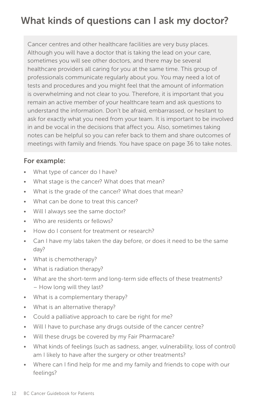# What kinds of questions can I ask my doctor?

Cancer centres and other healthcare facilities are very busy places. Although you will have a doctor that is taking the lead on your care, sometimes you will see other doctors, and there may be several healthcare providers all caring for you at the same time. This group of professionals communicate regularly about you. You may need a lot of tests and procedures and you might feel that the amount of information is overwhelming and not clear to you. Therefore, it is important that you remain an active member of your healthcare team and ask questions to understand the information. Don't be afraid, embarrassed, or hesitant to ask for exactly what you need from your team. It is important to be involved in and be vocal in the decisions that affect you. Also, sometimes taking notes can be helpful so you can refer back to them and share outcomes of meetings with family and friends. You have space on page 36 to take notes.

#### For example:

- What type of cancer do I have?
- What stage is the cancer? What does that mean?
- What is the grade of the cancer? What does that mean?
- What can be done to treat this cancer?
- Will I always see the same doctor?
- Who are residents or fellows?
- How do I consent for treatment or research?
- Can I have my labs taken the day before, or does it need to be the same day?
- What is chemotherapy?
- What is radiation therapy?
- What are the short-term and long-term side effects of these treatments? – How long will they last?
- What is a complementary therapy?
- What is an alternative therapy?
- Could a palliative approach to care be right for me?
- Will I have to purchase any drugs outside of the cancer centre?
- Will these drugs be covered by my Fair Pharmacare?
- What kinds of feelings (such as sadness, anger, vulnerability, loss of control) am I likely to have after the surgery or other treatments?
- Where can I find help for me and my family and friends to cope with our feelings?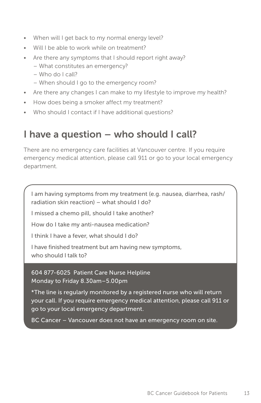- When will I get back to my normal energy level?
- Will I be able to work while on treatment?
- Are there any symptoms that I should report right away?
	- What constitutes an emergency?
	- Who do I call?
	- When should I go to the emergency room?
- Are there any changes I can make to my lifestyle to improve my health?
- How does being a smoker affect my treatment?
- Who should I contact if I have additional questions?

# I have a question – who should I call?

There are no emergency care facilities at Vancouver centre. If you require emergency medical attention, please call 911 or go to your local emergency department.

I am having symptoms from my treatment (e.g. nausea, diarrhea, rash/ radiation skin reaction) – what should I do?

I missed a chemo pill, should I take another?

How do I take my anti-nausea medication?

I think I have a fever, what should I do?

I have finished treatment but am having new symptoms, who should I talk to?

604 877-6025 Patient Care Nurse Helpline Monday to Friday 8.30am – 5.00pm

\*The line is regularly monitored by a registered nurse who will return your call. If you require emergency medical attention, please call 911 or go to your local emergency department.

BC Cancer – Vancouver does not have an emergency room on site.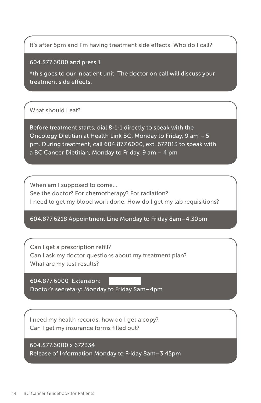It's after 5pm and I'm having treatment side effects. Who do I call?

604.877.6000 and press 1

\*this goes to our inpatient unit. The doctor on call will discuss your treatment side effects.

#### What should I eat?

Before treatment starts, dial 8-1-1 directly to speak with the Oncology Dietitian at Health Link BC, Monday to Friday, 9 am – 5 pm. During treatment, call 604.877.6000, ext. 672013 to speak with a BC Cancer Dietitian, Monday to Friday, 9 am – 4 pm

When am I supposed to come…

See the doctor? For chemotherapy? For radiation? I need to get my blood work done. How do I get my lab requisitions?

#### 604.877.6218 Appointment Line Monday to Friday 8am – 4.30pm

Can I get a prescription refill? Can I ask my doctor questions about my treatment plan? What are my test results?

604.877.6000 Extension: Doctor's secretary: Monday to Friday 8am – 4pm

I need my health records, how do I get a copy? Can I get my insurance forms filled out?

604.877.6000 x 672334 Release of Information Monday to Friday 8am – 3.45pm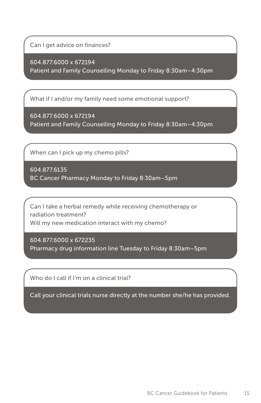Can I get advice on finances?

604.877.6000 x 672194 Patient and Family Counselling Monday to Friday 8:30am – 4:30pm

What if I and/or my family need some emotional support?

604.877.6000 x 672194 Patient and Family Counselling Monday to Friday 8:30am – 4:30pm

When can I pick up my chemo pills?

604.877.6135 BC Cancer Pharmacy Monday to Friday 8:30am – 5pm

Can I take a herbal remedy while receiving chemotherapy or radiation treatment? Will my new medication interact with my chemo?

604.877.6000 x 672235 Pharmacy drug information line Tuesday to Friday 8:30am – 5pm

Who do I call if I'm on a clinical trial?

Call your clinical trials nurse directly at the number she/he has provided.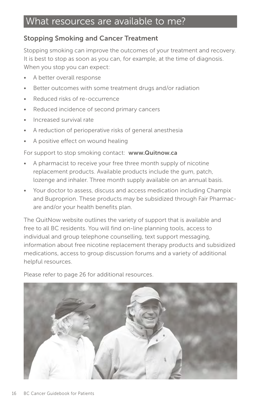# What resources are available to me?

### Stopping Smoking and Cancer Treatment

Stopping smoking can improve the outcomes of your treatment and recovery. It is best to stop as soon as you can, for example, at the time of diagnosis. When you stop you can expect:

- A better overall response
- Better outcomes with some treatment drugs and/or radiation
- Reduced risks of re-occurrence
- Reduced incidence of second primary cancers
- Increased survival rate
- A reduction of perioperative risks of general anesthesia
- A positive effect on wound healing

For support to stop smoking contact: www.Quitnow.ca

- A pharmacist to receive your free three month supply of nicotine replacement products. Available products include the gum, patch, lozenge and inhaler. Three month supply available on an annual basis.
- Your doctor to assess, discuss and access medication including Champix and Buproprion. These products may be subsidized through Fair Pharmacare and/or your health benefits plan.

The QuitNow website outlines the variety of support that is available and free to all BC residents. You will find on-line planning tools, access to individual and group telephone counselling, text support messaging, information about free nicotine replacement therapy products and subsidized medications, access to group discussion forums and a variety of additional helpful resources.

Please refer to page 26 for additional resources.

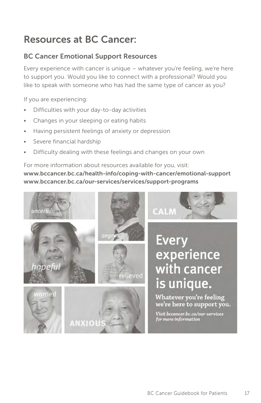# Resources at BC Cancer:

# BC Cancer Emotional Support Resources

Every experience with cancer is unique – whatever you're feeling, we're here to support you. Would you like to connect with a professional? Would you like to speak with someone who has had the same type of cancer as you?

If you are experiencing:

- Difficulties with your day-to-day activities
- Changes in your sleeping or eating habits
- Having persistent feelings of anxiety or depression
- Severe financial hardship
- Difficulty dealing with these feelings and changes on your own

For more information about resources available for you, visit: www.bccancer.bc.ca/health-info/coping-with-cancer/emotional-support www.bccancer.bc.ca/our-services/services/support-programs

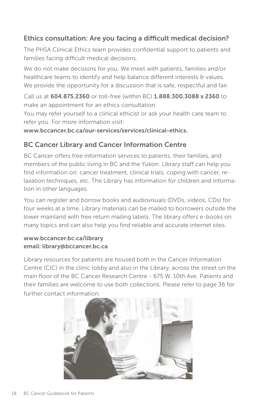# Ethics consultation: Are you facing a difficult medical decision?

The PHSA Clinical Ethics team provides confidential support to patients and families facing difficult medical decisions.

We do not make decisions for you. We meet with patients, families and/or healthcare teams to identify and help balance different interests & values. We provide the opportunity for a discussion that is safe, respectful and fair.

Call us at 604.875.2360 or toll-free (within BC) 1.888.300.3088 x 2360 to make an appointment for an ethics consultation.

You may refer yourself to a clinical ethicist or ask your health care team to refer you. For more information visit:

www.bccancer.bc.ca/our-services/services/clinical-ethics.

# BC Cancer Library and Cancer Information Centre

BC Cancer offers free information services to patients, their families, and members of the public living in BC and the Yukon. Library staff can help you find information on: cancer treatment, clinical trials, coping with cancer, relaxation techniques, etc. The Library has information for children and information in other languages.

You can register and borrow books and audiovisuals (DVDs, videos, CDs) for four weeks at a time. Library materials can be mailed to borrowers outside the lower mainland with free return mailing labels. The library offers e-books on many topics and can also help you find reliable and accurate internet sites.

#### www.bccancer.bc.ca/library email: library@bccancer.bc.ca

Library resources for patients are housed both in the Cancer Information Centre (CIC) in the clinic lobby and also in the Library, across the street on the main floor of the BC Cancer Research Centre - 675 W. 10th Ave. Patients and their families are welcome to use both collections. Please refer to page 36 for further contact information.

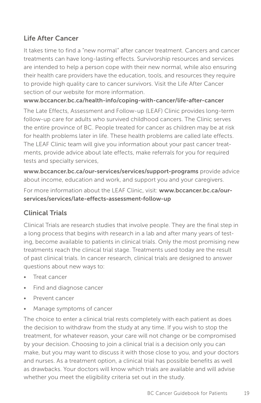# Life After Cancer

It takes time to find a "new normal" after cancer treatment. Cancers and cancer treatments can have long-lasting effects. Survivorship resources and services are intended to help a person cope with their new normal, while also ensuring their health care providers have the education, tools, and resources they require to provide high quality care to cancer survivors. Visit the Life After Cancer section of our website for more information.

#### www.bccancer.bc.ca/health-info/coping-with-cancer/life-after-cancer

The Late Effects, Assessment and Follow-up (LEAF) Clinic provides long-term follow-up care for adults who survived childhood cancers. The Clinic serves the entire province of BC. People treated for cancer as children may be at risk for health problems later in life. These health problems are called late effects. The LEAF Clinic team will give you information about your past cancer treatments, provide advice about late effects, make referrals for you for required tests and specialty services,

www.bccancer.bc.ca/our-services/services/support-programs provide advice about income, education and work, and support you and your caregivers.

For more information about the LEAF Clinic, visit: www.bccancer.bc.ca/ourservices/services/late-effects-assessment-follow-up

# Clinical Trials

Clinical Trials are research studies that involve people. They are the final step in a long process that begins with research in a lab and after many years of testing, become available to patients in clinical trials. Only the most promising new treatments reach the clinical trial stage. Treatments used today are the result of past clinical trials. In cancer research, clinical trials are designed to answer questions about new ways to:

- Treat cancer
- Find and diagnose cancer
- Prevent cancer
- Manage symptoms of cancer

The choice to enter a clinical trial rests completely with each patient as does the decision to withdraw from the study at any time. If you wish to stop the treatment, for whatever reason, your care will not change or be compromised by your decision. Choosing to join a clinical trial is a decision only you can make, but you may want to discuss it with those close to you, and your doctors and nurses. As a treatment option, a clinical trial has possible benefits as well as drawbacks. Your doctors will know which trials are available and will advise whether you meet the eligibility criteria set out in the study.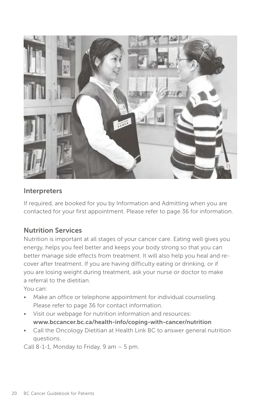

### Interpreters

If required, are booked for you by Information and Admitting when you are contacted for your first appointment. Please refer to page 36 for information.

### Nutrition Services

Nutrition is important at all stages of your cancer care. Eating well gives you energy, helps you feel better and keeps your body strong so that you can better manage side effects from treatment. It will also help you heal and recover after treatment. If you are having difficulty eating or drinking, or if you are losing weight during treatment, ask your nurse or doctor to make a referral to the dietitian.

You can:

- Make an office or telephone appointment for individual counseling. Please refer to page 36 for contact information.
- Visit our webpage for nutrition information and resources: www.bccancer.bc.ca/health-info/coping-with-cancer/nutrition
- Call the Oncology Dietitian at Health Link BC to answer general nutrition questions.

Call 8-1-1, Monday to Friday, 9 am  $-5$  pm.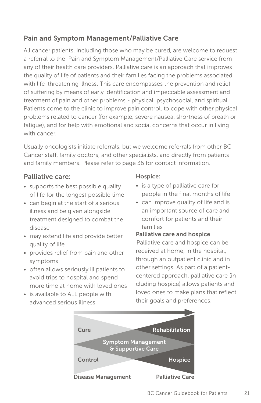# Pain and Symptom Management/Palliative Care

All cancer patients, including those who may be cured, are welcome to request a referral to the Pain and Symptom Management/Palliative Care service from any of their health care providers. Palliative care is an approach that improves the quality of life of patients and their families facing the problems associated with life-threatening illness. This care encompasses the prevention and relief of suffering by means of early identification and impeccable assessment and treatment of pain and other problems - physical, psychosocial, and spiritual. Patients come to the clinic to improve pain control, to cope with other physical problems related to cancer (for example; severe nausea, shortness of breath or fatigue), and for help with emotional and social concerns that occur in living with cancer.

Usually oncologists initiate referrals, but we welcome referrals from other BC Cancer staff, family doctors, and other specialists, and directly from patients and family members. Please refer to page 36 for contact information.

### Palliative care:

- supports the best possible quality of life for the longest possible time
- can begin at the start of a serious illness and be given alongside treatment designed to combat the disease
- may extend life and provide better quality of life
- provides relief from pain and other symptoms
- often allows seriously ill patients to avoid trips to hospital and spend more time at home with loved ones
- is available to ALL people with advanced serious illness

#### Hospice:

- is a type of palliative care for people in the final months of life
- can improve quality of life and is an important source of care and comfort for patients and their families

#### Palliative care and hospice

Palliative care and hospice can be received at home, in the hospital, through an outpatient clinic and in other settings. As part of a patientcentered approach, palliative care (including hospice) allows patients and loved ones to make plans that reflect their goals and preferences.

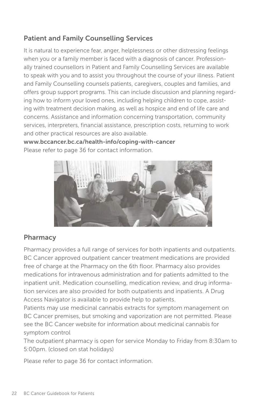# Patient and Family Counselling Services

It is natural to experience fear, anger, helplessness or other distressing feelings when you or a family member is faced with a diagnosis of cancer. Professionally trained counsellors in Patient and Family Counselling Services are available to speak with you and to assist you throughout the course of your illness. Patient and Family Counselling counsels patients, caregivers, couples and families, and offers group support programs. This can include discussion and planning regarding how to inform your loved ones, including helping children to cope, assisting with treatment decision making, as well as hospice and end of life care and concerns. Assistance and information concerning transportation, community services, interpreters, financial assistance, prescription costs, returning to work and other practical resources are also available.

www.bccancer.bc.ca/health-info/coping-with-cancer Please refer to page 36 for contact information.



# Pharmacy

Pharmacy provides a full range of services for both inpatients and outpatients. BC Cancer approved outpatient cancer treatment medications are provided free of charge at the Pharmacy on the 6th floor. Pharmacy also provides medications for intravenous administration and for patients admitted to the inpatient unit. Medication counselling, medication review, and drug information services are also provided for both outpatients and inpatients. A Drug Access Navigator is available to provide help to patients.

Patients may use medicinal cannabis extracts for symptom management on BC Cancer premises, but smoking and vaporization are not permitted. Please see the BC Cancer website for information about medicinal cannabis for symptom control

The outpatient pharmacy is open for service Monday to Friday from 8:30am to 5:00pm. (closed on stat holidays)

Please refer to page 36 for contact information.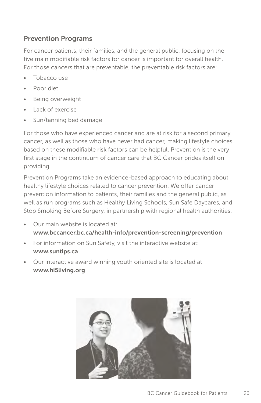### Prevention Programs

For cancer patients, their families, and the general public, focusing on the five main modifiable risk factors for cancer is important for overall health. For those cancers that are preventable, the preventable risk factors are:

- Tobacco use
- Poor diet
- Being overweight
- Lack of exercise
- Sun/tanning bed damage

For those who have experienced cancer and are at risk for a second primary cancer, as well as those who have never had cancer, making lifestyle choices based on these modifiable risk factors can be helpful. Prevention is the very first stage in the continuum of cancer care that BC Cancer prides itself on providing.

Prevention Programs take an evidence-based approach to educating about healthy lifestyle choices related to cancer prevention. We offer cancer prevention information to patients, their families and the general public, as well as run programs such as Healthy Living Schools, Sun Safe Daycares, and Stop Smoking Before Surgery, in partnership with regional health authorities.

- Our main website is located at: www.bccancer.bc.ca/health-info/prevention-screening/prevention
- For information on Sun Safety, visit the interactive website at: www.suntips.ca
- Our interactive award winning youth oriented site is located at: www.hi5living.org

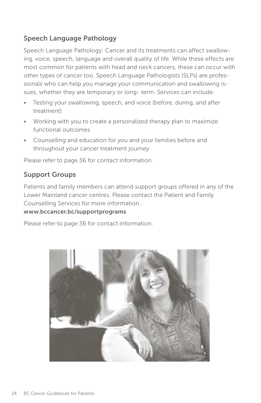# Speech Language Pathology

Speech Language Pathology: Cancer and its treatments can affect swallowing, voice, speech, language and overall quality of life. While these effects are most common for patients with head and neck cancers, these can occur with other types of cancer too. Speech Language Pathologists (SLPs) are professionals who can help you manage your communication and swallowing issues, whether they are temporary or long- term. Services can include:

- Testing your swallowing, speech, and voice (before, during, and after treatment)
- Working with you to create a personalized therapy plan to maximize functional outcomes
- Counselling and education for you and your families before and throughout your cancer treatment journey

Please refer to page 36 for contact information.

### Support Groups

Patients and family members can attend support groups offered in any of the Lower Mainland cancer centres. Please contact the Patient and Family Counselling Services for more information.

#### www.bccancer.bc/supportprograms

Please refer to page 36 for contact information.

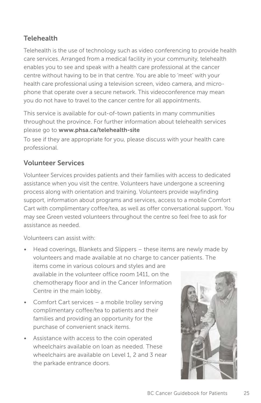# **Telehealth**

Telehealth is the use of technology such as video conferencing to provide health care services. Arranged from a medical facility in your community, telehealth enables you to see and speak with a health care professional at the cancer centre without having to be in that centre. You are able to 'meet' with your health care professional using a television screen, video camera, and microphone that operate over a secure network. This videoconference may mean you do not have to travel to the cancer centre for all appointments.

This service is available for out-of-town patients in many communities throughout the province. For further information about telehealth services please go to www.phsa.ca/telehealth-site

To see if they are appropriate for you, please discuss with your health care professional.

# Volunteer Services

Volunteer Services provides patients and their families with access to dedicated assistance when you visit the centre. Volunteers have undergone a screening process along with orientation and training. Volunteers provide wayfinding support, information about programs and services, access to a mobile Comfort Cart with complimentary coffee/tea, as well as offer conversational support. You may see Green vested volunteers throughout the centre so feel free to ask for assistance as needed.

Volunteers can assist with:

- Head coverings, Blankets and Slippers these items are newly made by volunteers and made available at no charge to cancer patients. The items come in various colours and styles and are available in the volunteer office room 1411, on the chemotherapy floor and in the Cancer Information Centre in the main lobby.
- Comfort Cart services a mobile trolley serving complimentary coffee/tea to patients and their families and providing an opportunity for the purchase of convenient snack items.
- Assistance with access to the coin operated wheelchairs available on loan as needed. These wheelchairs are available on Level 1, 2 and 3 near the parkade entrance doors.

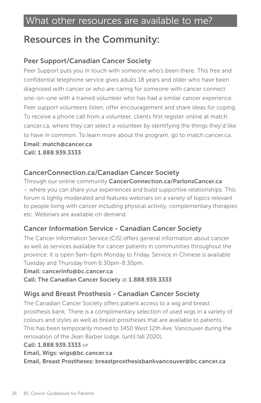# Resources in the Community:

# Peer Support/Canadian Cancer Society

Peer Support puts you in touch with someone who's been there. This free and confidential telephone service gives adults 18 years and older who have been diagnosed with cancer or who are caring for someone with cancer connect one-on-one with a trained volunteer who has had a similar cancer experience. Peer support volunteers listen, offer encouragement and share ideas for coping. To receive a phone call from a volunteer, clients first register online at match. cancer.ca, where they can select a volunteer by identifying the things they'd like to have in common. To learn more about the program, go to match.cancer.ca. Email: match@cancer.ca

Call: 1.888.939.3333

#### CancerConnection.ca/Canadian Cancer Society

Through our online community CancerConnection.ca/ParlonsCancer.ca – where you can share your experiences and build supportive relationships. This forum is lightly moderated and features webinars on a variety of topics relevant to people living with cancer including physical activity, complementary therapies etc. Webinars are available on demand.

### Cancer Information Service - Canadian Cancer Society

The Cancer Information Service (CIS) offers general information about cancer as well as services available for cancer patients in communities throughout the province. It is open 9am-6pm Monday to Friday. Service in Chinese is available Tuesday and Thursday from 6:30pm-8:30pm.

Email: cancerinfo@bc.cancer.ca

Call: The Canadian Cancer Society at 1.888.939.3333

#### Wigs and Breast Prosthesis - Canadian Cancer Society

The Canadian Cancer Society offers patient access to a wig and breast prosthesis bank. There is a complimentary selection of used wigs in a variety of colours and styles as well as breast prostheses that are available to patients. This has been temporarily moved to 1450 West 12th Ave, Vancouver during the renovation of the Jean Barber lodge. (until fall 2020).

#### Call: 1.888.939.3333 or

Email, Wigs: wigs@bc.cancer.ca

Email, Breast Prostheses: breastprosthesisbankvancouver@bc.cancer.ca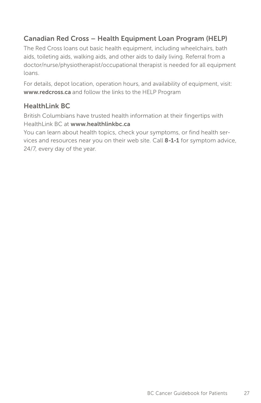# Canadian Red Cross – Health Equipment Loan Program (HELP)

The Red Cross loans out basic health equipment, including wheelchairs, bath aids, toileting aids, walking aids, and other aids to daily living. Referral from a doctor/nurse/physiotherapist/occupational therapist is needed for all equipment loans.

For details, depot location, operation hours, and availability of equipment, visit: www.redcross.ca and follow the links to the HELP Program

### HealthLink BC

British Columbians have trusted health information at their fingertips with HealthLink BC at www.healthlinkbc.ca

You can learn about health topics, check your symptoms, or find health services and resources near you on their web site. Call 8-1-1 for symptom advice, 24/7, every day of the year.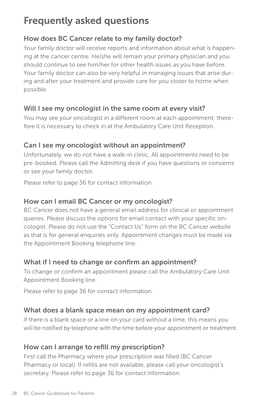# Frequently asked questions

# How does BC Cancer relate to my family doctor?

Your family doctor will receive reports and information about what is happening at the cancer centre. He/she will remain your primary physician and you should continue to see him/her for other health issues as you have before. Your family doctor can also be very helpful in managing issues that arise during and after your treatment and provide care for you closer to home when possible.

### Will I see my oncologist in the same room at every visit?

You may see your oncologist in a different room at each appointment; therefore it is necessary to check in at the Ambulatory Care Unit Reception.

### Can I see my oncologist without an appointment?

Unfortunately, we do not have a walk-in clinic. All appointments need to be pre-booked. Please call the Admitting desk if you have questions or concerns or see your family doctor.

Please refer to page 36 for contact information.

#### How can I email BC Cancer or my oncologist?

BC Cancer does not have a general email address for clinical or appointment queries. Please discuss the options for email contact with your specific oncologist. Please do not use the "Contact Us" form on the BC Cancer website as that is for general enquiries only. Appointment changes must be made via the Appointment Booking telephone line.

#### What if I need to change or confirm an appointment?

To change or confirm an appointment please call the Ambulatory Care Unit Appointment Booking line.

Please refer to page 36 for contact information.

### What does a blank space mean on my appointment card?

If there is a blank space or a line on your card without a time, this means you will be notified by telephone with the time before your appointment or treatment.

### How can I arrange to refill my prescription?

First call the Pharmacy where your prescription was filled (BC Cancer Pharmacy or local). If refills are not available, please call your oncologist's secretary. Please refer to page 36 for contact information.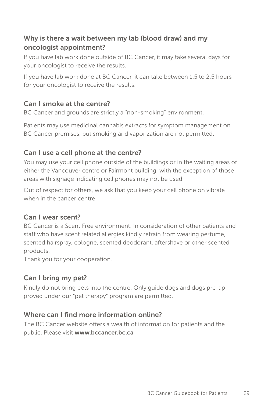# Why is there a wait between my lab (blood draw) and my oncologist appointment?

If you have lab work done outside of BC Cancer, it may take several days for your oncologist to receive the results.

If you have lab work done at BC Cancer, it can take between 1.5 to 2.5 hours for your oncologist to receive the results.

# Can I smoke at the centre?

BC Cancer and grounds are strictly a "non-smoking" environment.

Patients may use medicinal cannabis extracts for symptom management on BC Cancer premises, but smoking and vaporization are not permitted.

# Can I use a cell phone at the centre?

You may use your cell phone outside of the buildings or in the waiting areas of either the Vancouver centre or Fairmont building, with the exception of those areas with signage indicating cell phones may not be used.

Out of respect for others, we ask that you keep your cell phone on vibrate when in the cancer centre.

# Can I wear scent?

BC Cancer is a Scent Free environment. In consideration of other patients and staff who have scent related allergies kindly refrain from wearing perfume, scented hairspray, cologne, scented deodorant, aftershave or other scented products.

Thank you for your cooperation.

# Can I bring my pet?

Kindly do not bring pets into the centre. Only guide dogs and dogs pre-approved under our "pet therapy" program are permitted.

# Where can I find more information online?

The BC Cancer website offers a wealth of information for patients and the public. Please visit www.bccancer.bc.ca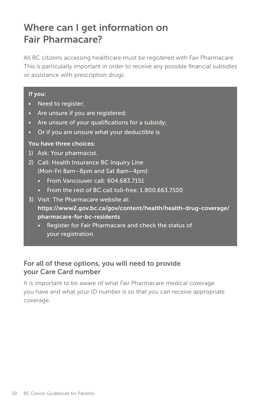# Where can I get information on Fair Pharmacare?

All BC citizens accessing healthcare must be registered with Fair Pharmacare. This is particularly important in order to receive any possible financial subsidies or assistance with prescription drugs.

#### If you:

- Need to register;
- Are unsure if you are registered;
- Are unsure of your qualifications for a subsidy;
- Or if you are unsure what your deductible is

#### You have three choices:

- 1) Ask: Your pharmacist.
- 2) Call: Health Insurance BC Inquiry Line (Mon-Fri 8am– 8pm and Sat 8am – 4pm):
	- From Vancouver call: 604.683.7151
	- From the rest of BC call toll-free: 1,800,663,7100
- 3) Visit: The Pharmacare website at: https://www2.gov.bc.ca/gov/content/health/health-drug-coverage/ pharmacare-for-bc-residents
	- Register for Fair Pharmacare and check the status of your registration.

### For all of these options, you will need to provide your Care Card number

It is important to be aware of what Fair Pharmacare medical coverage you have and what your ID number is so that you can receive appropriate coverage.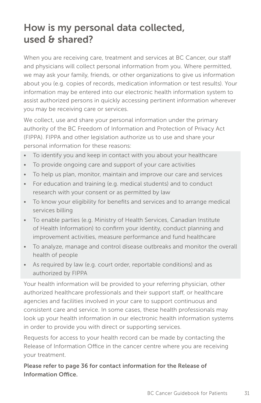# How is my personal data collected, used & shared?

When you are receiving care, treatment and services at BC Cancer, our staff and physicians will collect personal information from you. Where permitted, we may ask your family, friends, or other organizations to give us information about you (e.g. copies of records, medication information or test results). Your information may be entered into our electronic health information system to assist authorized persons in quickly accessing pertinent information wherever you may be receiving care or services.

We collect, use and share your personal information under the primary authority of the BC Freedom of Information and Protection of Privacy Act (FIPPA). FIPPA and other legislation authorize us to use and share your personal information for these reasons:

- To identify you and keep in contact with you about your healthcare
- To provide ongoing care and support of your care activities
- To help us plan, monitor, maintain and improve our care and services
- For education and training (e.g. medical students) and to conduct research with your consent or as permitted by law
- To know your eligibility for benefits and services and to arrange medical services billing
- To enable parties (e.g. Ministry of Health Services, Canadian Institute of Health Information) to confirm your identity, conduct planning and improvement activities, measure performance and fund healthcare
- To analyze, manage and control disease outbreaks and monitor the overall health of people
- As required by law (e.g. court order, reportable conditions) and as authorized by FIPPA

Your health information will be provided to your referring physician, other authorized healthcare professionals and their support staff, or healthcare agencies and facilities involved in your care to support continuous and consistent care and service. In some cases, these health professionals may look up your health information in our electronic health information systems in order to provide you with direct or supporting services.

Requests for access to your health record can be made by contacting the Release of Information Office in the cancer centre where you are receiving your treatment.

Please refer to page 36 for contact information for the Release of Information Office.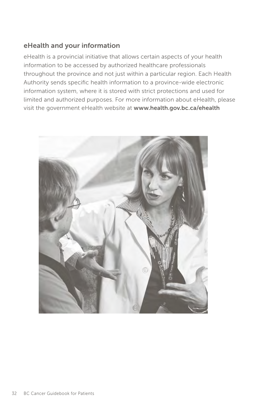### eHealth and your information

eHealth is a provincial initiative that allows certain aspects of your health information to be accessed by authorized healthcare professionals throughout the province and not just within a particular region. Each Health Authority sends specific health information to a province-wide electronic information system, where it is stored with strict protections and used for limited and authorized purposes. For more information about eHealth, please visit the government eHealth website at www.health.gov.bc.ca/ehealth

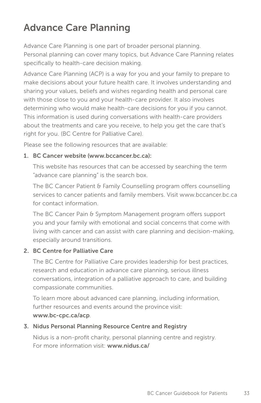# Advance Care Planning

Advance Care Planning is one part of broader personal planning. Personal planning can cover many topics, but Advance Care Planning relates specifically to health-care decision making.

Advance Care Planning (ACP) is a way for you and your family to prepare to make decisions about your future health care. It involves understanding and sharing your values, beliefs and wishes regarding health and personal care with those close to you and your health-care provider. It also involves determining who would make health-care decisions for you if you cannot. This information is used during conversations with health-care providers about the treatments and care you receive, to help you get the care that's right for you. (BC Centre for Palliative Care).

Please see the following resources that are available:

#### 1. BC Cancer website (www.bccancer.bc.ca):

This website has resources that can be accessed by searching the term "advance care planning" is the search box.

The BC Cancer Patient & Family Counselling program offers counselling services to cancer patients and family members. Visit www.bccancer.bc.ca for contact information.

The BC Cancer Pain & Symptom Management program offers support you and your family with emotional and social concerns that come with living with cancer and can assist with care planning and decision-making, especially around transitions.

#### 2. BC Centre for Palliative Care

The BC Centre for Palliative Care provides leadership for best practices, research and education in advance care planning, serious illness conversations, integration of a palliative approach to care, and building compassionate communities.

To learn more about advanced care planning, including information, further resources and events around the province visit: www.bc-cpc.ca/acp.

#### 3. Nidus Personal Planning Resource Centre and Registry

Nidus is a non-profit charity, personal planning centre and registry. For more information visit: www.nidus.ca/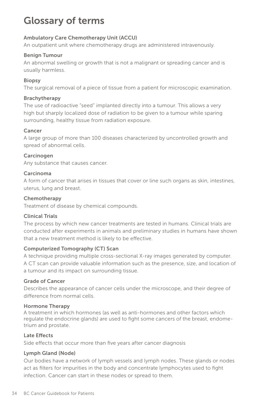# Glossary of terms

#### Ambulatory Care Chemotherapy Unit (ACCU)

An outpatient unit where chemotherapy drugs are administered intravenously.

#### Benign Tumour

An abnormal swelling or growth that is not a malignant or spreading cancer and is usually harmless.

#### Biopsy

The surgical removal of a piece of tissue from a patient for microscopic examination.

#### Brachytherapy

The use of radioactive "seed" implanted directly into a tumour. This allows a very high but sharply localized dose of radiation to be given to a tumour while sparing surrounding, healthy tissue from radiation exposure.

#### Cancer

A large group of more than 100 diseases characterized by uncontrolled growth and spread of abnormal cells.

#### **Carcinogen**

Any substance that causes cancer.

#### Carcinoma

A form of cancer that arises in tissues that cover or line such organs as skin, intestines, uterus, lung and breast.

#### Chemotherapy

Treatment of disease by chemical compounds.

#### Clinical Trials

The process by which new cancer treatments are tested in humans. Clinical trials are conducted after experiments in animals and preliminary studies in humans have shown that a new treatment method is likely to be effective.

#### Computerized Tomography (CT) Scan

A technique providing multiple cross-sectional X-ray images generated by computer. A CT scan can provide valuable information such as the presence, size, and location of a tumour and its impact on surrounding tissue.

#### Grade of Cancer

Describes the appearance of cancer cells under the microscope, and their degree of difference from normal cells.

#### Hormone Therapy

A treatment in which hormones (as well as anti-hormones and other factors which regulate the endocrine glands) are used to fight some cancers of the breast, endometrium and prostate.

#### Late Effects

Side effects that occur more than five years after cancer diagnosis

#### Lymph Gland (Node)

Our bodies have a network of lymph vessels and lymph nodes. These glands or nodes act as filters for impurities in the body and concentrate lymphocytes used to fight infection. Cancer can start in these nodes or spread to them.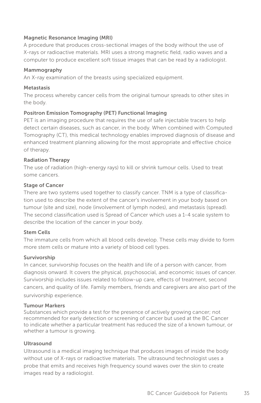#### Magnetic Resonance Imaging (MRI)

A procedure that produces cross-sectional images of the body without the use of X-rays or radioactive materials. MRI uses a strong magnetic field, radio waves and a computer to produce excellent soft tissue images that can be read by a radiologist.

#### Mammography

An X-ray examination of the breasts using specialized equipment.

#### **Metastasis**

The process whereby cancer cells from the original tumour spreads to other sites in the body.

#### Positron Emission Tomography (PET) Functional Imaging

PET is an imaging procedure that requires the use of safe injectable tracers to help detect certain diseases, such as cancer, in the body. When combined with Computed Tomography (CT), this medical technology enables improved diagnosis of disease and enhanced treatment planning allowing for the most appropriate and effective choice of therapy.

#### Radiation Therapy

The use of radiation (high-energy rays) to kill or shrink tumour cells. Used to treat some cancers.

#### Stage of Cancer

There are two systems used together to classify cancer. TNM is a type of classification used to describe the extent of the cancer's involvement in your body based on tumour (site and size), node (involvement of lymph nodes), and metastasis (spread). The second classification used is Spread of Cancer which uses a 1-4 scale system to describe the location of the cancer in your body.

#### Stem Cells

The immature cells from which all blood cells develop. These cells may divide to form more stem cells or mature into a variety of blood cell types.

#### Survivorship

In cancer, survivorship focuses on the health and life of a person with cancer, from diagnosis onward. It covers the physical, psychosocial, and economic issues of cancer. Survivorship includes issues related to follow-up care, effects of treatment, second cancers, and quality of life. Family members, friends and caregivers are also part of the survivorship experience.

#### Tumour Markers

Substances which provide a test for the presence of actively growing cancer; not recommended for early detection or screening of cancer but used at the BC Cancer to indicate whether a particular treatment has reduced the size of a known tumour, or whether a tumour is growing.

#### Ultrasound

Ultrasound is a medical imaging technique that produces images of inside the body without use of X-rays or radioactive materials. The ultrasound technologist uses a probe that emits and receives high frequency sound waves over the skin to create images read by a radiologist.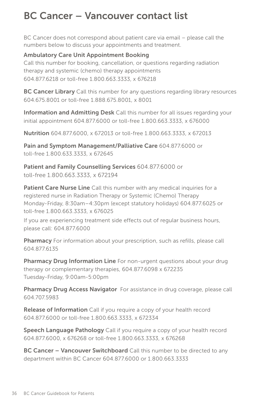# BC Cancer – Vancouver contact list

BC Cancer does not correspond about patient care via email – please call the numbers below to discuss your appointments and treatment.

#### Ambulatory Care Unit Appointment Booking

Call this number for booking, cancellation, or questions regarding radiation therapy and systemic (chemo) therapy appointments 604.877.6218 or toll-free 1.800.663.3333, x 676218

**BC Cancer Library** Call this number for any questions regarding library resources 604.675.8001 or toll-free 1.888.675.8001, x 8001

Information and Admitting Desk Call this number for all issues regarding your initial appointment 604.877.6000 or toll-free 1.800.663.3333, x 676000

Nutrition 604.877.6000, x 672013 or toll-free 1.800.663.3333, x 672013

Pain and Symptom Management/Palliative Care 604.877.6000 or toll-free 1.800.633.3333, x 672645

Patient and Family Counselling Services 604.877.6000 or toll-free 1.800.663.3333, x 672194

Patient Care Nurse Line Call this number with any medical inquiries for a registered nurse in Radiation Therapy or Systemic (Chemo) Therapy Monday-Friday, 8:30am – 4:30pm (except statutory holidays) 604.877.6025 or toll-free 1.800.663.3333, x 676025

If you are experiencing treatment side effects out of regular business hours, please call: 604.877.6000

Pharmacy For information about your prescription, such as refills, please call 604.877.6135

Pharmacy Drug Information Line For non-urgent questions about your drug therapy or complementary therapies, 604.877.6098 x 672235 Tuesday-Friday, 9:00am-5:00pm

Pharmacy Drug Access Navigator For assistance in drug coverage, please call 604.707.5983

**Release of Information** Call if you require a copy of your health record 604.877.6000 or toll-free 1.800.663.3333, x 672334

Speech Language Pathology Call if you require a copy of your health record 604.877.6000, x 676268 or toll-free 1.800.663.3333, x 676268

**BC Cancer – Vancouver Switchboard** Call this number to be directed to any department within BC Cancer 604.877.6000 or 1.800.663.3333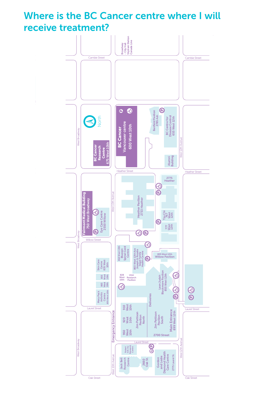Where is the BC Cancer centre where I will receive treatment?